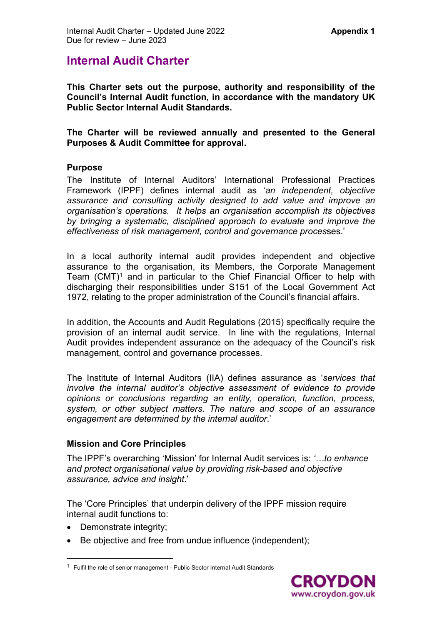# **Internal Audit Charter**

**This Charter sets out the purpose, authority and responsibility of the Council's Internal Audit function, in accordance with the mandatory UK Public Sector Internal Audit Standards.** 

**The Charter will be reviewed annually and presented to the General Purposes & Audit Committee for approval.** 

#### **Purpose**

The Institute of Internal Auditors' International Professional Practices Framework (IPPF) defines internal audit as '*an independent, objective assurance and consulting activity designed to add value and improve an organisation's operations. It helps an organisation accomplish its objectives by bringing a systematic, disciplined approach to evaluate and improve the effectiveness of risk management, control and governance proces*ses.'

In a local authority internal audit provides independent and objective assurance to the organisation, its Members, the Corporate Management Team  $(CMT)^1$  and in particular to the Chief Financial Officer to help with discharging their responsibilities under S151 of the Local Government Act 1972, relating to the proper administration of the Council's financial affairs.

In addition, the Accounts and Audit Regulations (2015) specifically require the provision of an internal audit service. In line with the regulations, Internal Audit provides independent assurance on the adequacy of the Council's risk management, control and governance processes.

The Institute of Internal Auditors (IIA) defines assurance as '*services that involve the internal auditor's objective assessment of evidence to provide opinions or conclusions regarding an entity, operation, function, process, system, or other subject matters. The nature and scope of an assurance engagement are determined by the internal auditor*.'

### **Mission and Core Principles**

The IPPF's overarching 'Mission' for Internal Audit services is: *'…to enhance and protect organisational value by providing risk-based and objective assurance, advice and insight*.'

The 'Core Principles' that underpin delivery of the IPPF mission require internal audit functions to:

- Demonstrate integrity;
- Be objective and free from undue influence (independent);

<sup>&</sup>lt;sup>1</sup> Fulfil the role of senior management - Public Sector Internal Audit Standards

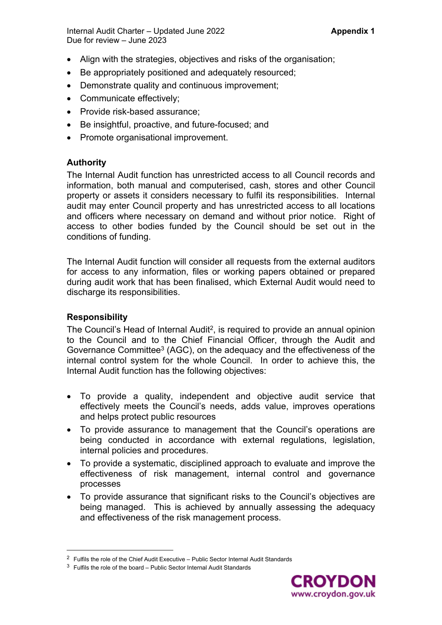Internal Audit Charter – Updated June 2022 **Appendix 1** Due for review – June 2023

- Align with the strategies, objectives and risks of the organisation;
- Be appropriately positioned and adequately resourced;
- Demonstrate quality and continuous improvement;
- Communicate effectively;
- Provide risk-based assurance;
- Be insightful, proactive, and future-focused; and
- Promote organisational improvement.

# **Authority**

The Internal Audit function has unrestricted access to all Council records and information, both manual and computerised, cash, stores and other Council property or assets it considers necessary to fulfil its responsibilities. Internal audit may enter Council property and has unrestricted access to all locations and officers where necessary on demand and without prior notice. Right of access to other bodies funded by the Council should be set out in the conditions of funding.

The Internal Audit function will consider all requests from the external auditors for access to any information, files or working papers obtained or prepared during audit work that has been finalised, which External Audit would need to discharge its responsibilities.

### **Responsibility**

The Council's Head of Internal Audit<sup>2</sup>, is required to provide an annual opinion to the Council and to the Chief Financial Officer, through the Audit and Governance Committee<sup>3</sup> (AGC), on the adequacy and the effectiveness of the internal control system for the whole Council. In order to achieve this, the Internal Audit function has the following objectives:

- To provide a quality, independent and objective audit service that effectively meets the Council's needs, adds value, improves operations and helps protect public resources
- To provide assurance to management that the Council's operations are being conducted in accordance with external regulations, legislation, internal policies and procedures.
- To provide a systematic, disciplined approach to evaluate and improve the effectiveness of risk management, internal control and governance processes
- To provide assurance that significant risks to the Council's objectives are being managed. This is achieved by annually assessing the adequacy and effectiveness of the risk management process.



 $2$  Fulfils the role of the Chief Audit Executive – Public Sector Internal Audit Standards

 $3$  Fulfils the role of the board – Public Sector Internal Audit Standards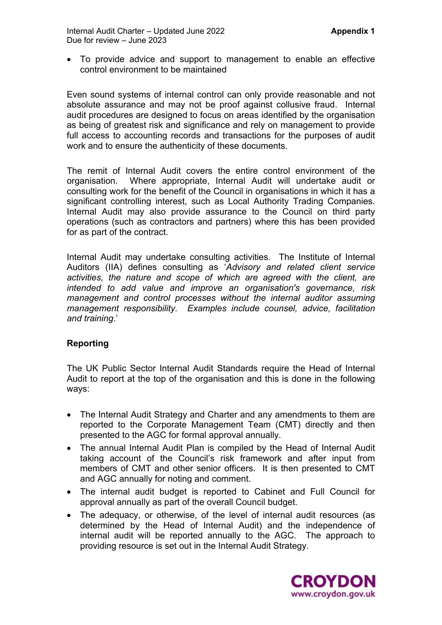To provide advice and support to management to enable an effective control environment to be maintained

Even sound systems of internal control can only provide reasonable and not absolute assurance and may not be proof against collusive fraud. Internal audit procedures are designed to focus on areas identified by the organisation as being of greatest risk and significance and rely on management to provide full access to accounting records and transactions for the purposes of audit work and to ensure the authenticity of these documents.

The remit of Internal Audit covers the entire control environment of the organisation. Where appropriate, Internal Audit will undertake audit or consulting work for the benefit of the Council in organisations in which it has a significant controlling interest, such as Local Authority Trading Companies. Internal Audit may also provide assurance to the Council on third party operations (such as contractors and partners) where this has been provided for as part of the contract.

Internal Audit may undertake consulting activities. The Institute of Internal Auditors (IIA) defines consulting as '*Advisory and related client service activities, the nature and scope of which are agreed with the client, are intended to add value and improve an organisation's governance, risk management and control processes without the internal auditor assuming management responsibility. Examples include counsel, advice, facilitation and training*.'

### **Reporting**

The UK Public Sector Internal Audit Standards require the Head of Internal Audit to report at the top of the organisation and this is done in the following ways:

- The Internal Audit Strategy and Charter and any amendments to them are reported to the Corporate Management Team (CMT) directly and then presented to the AGC for formal approval annually.
- The annual Internal Audit Plan is compiled by the Head of Internal Audit taking account of the Council's risk framework and after input from members of CMT and other senior officers. It is then presented to CMT and AGC annually for noting and comment.
- The internal audit budget is reported to Cabinet and Full Council for approval annually as part of the overall Council budget.
- The adequacy, or otherwise, of the level of internal audit resources (as determined by the Head of Internal Audit) and the independence of internal audit will be reported annually to the AGC. The approach to providing resource is set out in the Internal Audit Strategy.

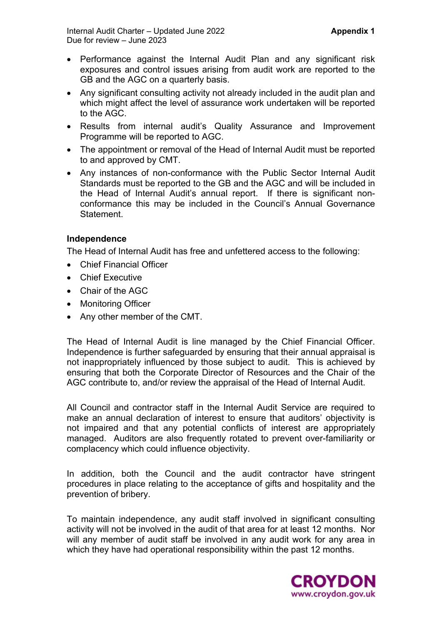- Performance against the Internal Audit Plan and any significant risk exposures and control issues arising from audit work are reported to the GB and the AGC on a quarterly basis.
- Any significant consulting activity not already included in the audit plan and which might affect the level of assurance work undertaken will be reported to the AGC.
- Results from internal audit's Quality Assurance and Improvement Programme will be reported to AGC.
- The appointment or removal of the Head of Internal Audit must be reported to and approved by CMT.
- Any instances of non-conformance with the Public Sector Internal Audit Standards must be reported to the GB and the AGC and will be included in the Head of Internal Audit's annual report. If there is significant nonconformance this may be included in the Council's Annual Governance **Statement**

### **Independence**

The Head of Internal Audit has free and unfettered access to the following:

- Chief Financial Officer
- **•** Chief Executive
- Chair of the AGC
- Monitoring Officer
- Any other member of the CMT.

The Head of Internal Audit is line managed by the Chief Financial Officer. Independence is further safeguarded by ensuring that their annual appraisal is not inappropriately influenced by those subject to audit. This is achieved by ensuring that both the Corporate Director of Resources and the Chair of the AGC contribute to, and/or review the appraisal of the Head of Internal Audit.

All Council and contractor staff in the Internal Audit Service are required to make an annual declaration of interest to ensure that auditors' objectivity is not impaired and that any potential conflicts of interest are appropriately managed. Auditors are also frequently rotated to prevent over-familiarity or complacency which could influence objectivity.

In addition, both the Council and the audit contractor have stringent procedures in place relating to the acceptance of gifts and hospitality and the prevention of bribery.

To maintain independence, any audit staff involved in significant consulting activity will not be involved in the audit of that area for at least 12 months. Nor will any member of audit staff be involved in any audit work for any area in which they have had operational responsibility within the past 12 months.